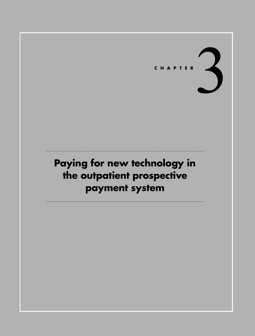

# **Paying for new technology in the outpatient prospective payment system**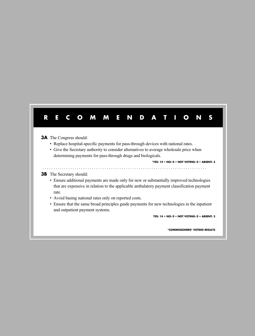## **RECOMMENDATIONS**

#### **3A** The Congress should:

- Replace hospital-specific payments for pass-through devices with national rates.
- Give the Secretary authority to consider alternatives to average wholesale price when determining payments for pass-through drugs and biologicals.

. . . . . . . . . . . . . . . . . . . . . . . . . . . . . . . . . . . . . . . . . . . . . . . . . . . . . . . . . . . . . . . . . . . . . . . . . . . . .

**\*YES: 14 • NO: 0 • NOT VOTING: 0 • ABSENT: 3**

#### **3B** The Secretary should:

- Ensure additional payments are made only for new or substantially improved technologies that are expensive in relation to the applicable ambulatory payment classification payment rate.
- Avoid basing national rates only on reported costs.
- Ensure that the same broad principles guide payments for new technologies in the inpatient and outpatient payment systems.

**YES: 14 • NO: 0 • NOT VOTING: 0 • ABSENT: 3**

**\*COMMISSIONERS' VOTING RESULTS**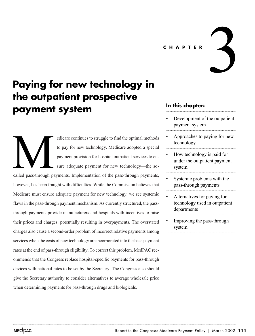**CHAPTER**

# **Paying for new technology in the outpatient prospective payment system**

edicare continues to struggle to find the optimal methods to pay for new technology. Medicare adopted a special payment provision for hospital outpatient services to ensure adequate payment for new technology—the socalled pass-through payments. Implementation of the pass-through payments, however, has been fraught with difficulties. While the Commission believes that Medicare must ensure adequate payment for new technology, we see systemic flaws in the pass-through payment mechanism. As currently structured, the passthrough payments provide manufacturers and hospitals with incentives to raise their prices and charges, potentially resulting in overpayments. The overstated charges also cause a second-order problem of incorrect relative payments among services when the costs of new technology are incorporated into the base payment rates at the end of pass-through eligibility. To correct this problem, MedPAC recommends that the Congress replace hospital-specific payments for pass-through devices with national rates to be set by the Secretary. The Congress also should give the Secretary authority to consider alternatives to average wholesale price when determining payments for pass-through drugs and biologicals. Called pass-through pass

## **In this chapter:**

Development of the outpatient payment system

3

- Approaches to paying for new technology
- How technology is paid for under the outpatient payment system
- Systemic problems with the pass-through payments
- Alternatives for paying for technology used in outpatient departments
- Improving the pass-through system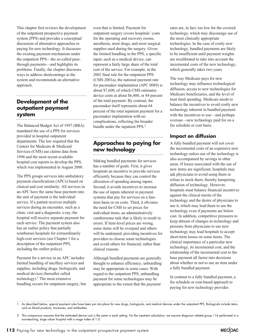This chapter first reviews the development of the outpatient prospective payment system (PPS) and provides a conceptual discussion of alternative approaches to paying for new technology. It discusses the existing payment mechanism under the outpatient PPS—the so-called passthrough payments—and highlights its problems. Finally, the chapter discusses ways to address shortcomings in the system and recommends an alternative approach.

#### **Development of the outpatient payment system**

The Balanced Budget Act of 1997 (BBA) mandated the use of a PPS for services provided in hospital outpatient departments. The law required that the Centers for Medicare & Medicaid Services (CMS) use claims data from 1996 and the most recent available hospital cost reports to develop the PPS, which was implemented in August 2000.

The PPS groups services into ambulatory payment classifications (APCs) based on clinical and cost similarity. All services in an APC have the same base payment rate; the unit of payment is the individual service. If a patient receives multiple services during an encounter, such as a clinic visit and a diagnostic x-ray, the hospital will receive separate payment for each service. The payment system also has an outlier policy that partially reimburses hospitals for extraordinarily high-cost services (see Chapter 1 for a description of the outpatient PPS, including the outlier policy).

Payment for a service in an APC includes limited bundling of ancillary services and supplies, including drugs, biologicals, and medical devices (hereafter called technology).<sup>1</sup> The most extensive bundling occurs for outpatient surgery, but

even that is limited. Payment for outpatient surgery covers hospitals' costs for the operating and recovery rooms, anesthesia, most drugs, and most surgical supplies used during the surgery. Given the limited bundling in the PPS, a specific input, such as a medical device, can represent a fairly large share of the total cost of the service. For example, in the 2002 final rule for the outpatient PPS (CMS 2001a), the national payment rate for pacemaker implantation (APC 0089) is about \$7,600, of which CMS estimates device costs at about \$6,400, or 84 percent of the total payment. By contrast, the pacemaker itself represents about 64 percent of the total inpatient payment for a pacemaker implantation with no complications, reflecting the broader bundle under the inpatient PPS.<sup>2</sup>

## **Approaches to paying for new technology**

Making bundled payments for services has a number of goals. First, it gives hospitals an incentive to provide services efficiently because they can control the allocation of spending among inputs. Second, it avoids incentives to increase the use of inputs inherent in payment systems that pay for services on a lineitem basis or on costs. Third, it obviates the need for CMS to set prices for individual items, an administratively cumbersome task that is likely to result in errors. If item-level prices are wrong, some items will be overpaid and others will be underpaid, providing incentives for providers to choose some technologies and avoid others for financial, rather than clinical reasons.

Although bundled payments are generally thought to enhance efficiency, unbundling may be appropriate in some cases. With regard to the outpatient PPS, unbundling payment for some technologies may be appropriate to the extent that the payment

rates are, in fact, too low for the covered technology, which may discourage use of the most clinically appropriate technologies. In the case of costly new technology, bundled payments are likely to be insufficient until payment weights are recalibrated to take into account the incremental costs of the new technology, which generally takes two years.

The way Medicare pays for new technology may influence technological diffusion, access to new technologies for Medicare beneficiaries, and the level of trust fund spending. Medicare needs to balance the incentives to avoid costly new technology inherent in bundled payment with the incentives to use—and perhaps overuse—new technology paid for on a fee schedule or cost basis.

### **Impact on diffusion**

A fully bundled payment will not cover the incremental costs of an expensive new technology unless use of the technology is also accompanied by savings in other areas. If losses associated with the use of new items are significant, hospitals may ask physicians to avoid using them or refuse to stock them, thereby hampering diffusion of technology. However, hospitals must balance financial incentives against the clinical merits of the technology and the desire of physicians to use it, which may lead them to use the technology even if payments are below cost. In addition, competitive pressures to keep abreast of changes in technology and pressure from physicians to use new technology may lead hospitals to accept short-term losses on some items. The clinical importance of a particular new technology, its incremental cost, and the relationship of the incremental cost to the base payment all factor into decisions about whether or not to use an item under a fully bundled payment.

In contrast to a fully bundled payment, a fee schedule or cost-based approach to paying for new technology provides

1 As described below, special payment rules have been put into place for new drugs, biologicals, and medical devices under the outpatient PPS. Biologicals include items such as blood products, hormones, and antibodies.

<sup>2</sup> This comparison assumes that the estimated device cost is the same in each setting. For the inpatient calculation, we assume diagnosis related group 116 performed in a non-teaching, large urban hospital with a wage index of 1.0.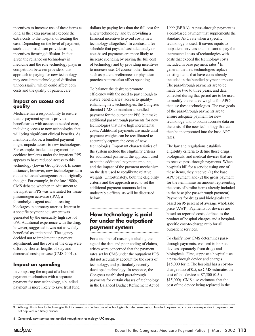incentives to increase use of these items as long as the extra payment exceeds the extra costs to the hospital of treating the case. Depending on the level of payment, such an approach can provide strong incentives favoring diffusion. In fact, given the reliance on technology in medicine and the role technology plays in competition between providers, this approach to paying for new technology may accelerate technological diffusion unnecessarily, which could affect both costs and the quality of patient care.

#### **Impact on access and quality**

Medicare has a responsibility to ensure that its payment systems provide beneficiaries with access to needed care, including access to new technologies that will bring significant clinical benefits. As mentioned above, a bundled payment might impede access to new technologies. For example, inadequate payment for cochlear implants under the inpatient PPS appears to have reduced access to this technology (Lewin Group 2000). In some instances, however, new technologies turn out to be less advantageous than originally thought. For example, in the late 1980s, CMS debated whether an adjustment to the inpatient PPS was warranted for tissue plasminogen activator (tPA), a thrombolytic agent used in treating blockages in coronary arteries. Interest in a specific payment adjustment was generated by the unusually high cost of tPA. Additional experience with the drug, however, suggested it was not as widely beneficial as anticipated. The agency decided not to implement a payment adjustment, and the costs of the drug were offset by shorter lengths of stay and decreased costs per case (CMS 2001c).

#### **Impact on spending**

In comparing the impact of a bundled payment mechanism with a separate payment for new technology, a bundled payment is more likely to save trust fund

dollars by paying less than the full cost for a new technology, and by providing a financial incentive to avoid costly new technology altogether. $3$  In contrast, a fee schedule that pays at least adequately or cost-based payments are more likely to increase spending by paying the full cost of technology and by providing incentives to increase use. Of course, other factors such as patient preferences or physician practice patterns also affect spending.

To balance the desire to promote efficiency with the need to pay enough to ensure beneficiaries' access to qualityenhancing new technologies, the Congress directed CMS to maintain a bundled payment for the outpatient PPS, but make additional pass-through payments for new technologies that have high incremental costs. Additional payments are made until payment weights can be recalibrated to accurately capture the costs of new technologies. Important characteristics of the system include the eligibility criteria for additional payment, the approach used to set the additional payment amounts, and the impact of the payment mechanism on the data used to recalibrate relative weights. Unfortunately, both the eligibility criteria and the approach used to set the additional payment amounts led to undesirable effects, as will be discussed below.

## **How technology is paid for under the outpatient payment system**

For a number of reasons, including the age of the data and poor coding of claims, critics were concerned that the payment rates set by CMS under the outpatient PPS did not accurately account for the costs of technology, and particularly recently developed technology. In response, the Congress established pass-through payments for certain classes of technology in the Balanced Budget Refinement Act of

1999 (BBRA). A pass-through payment is a cost-based payment that supplements the standard APC rate when a specific technology is used. It covers inputs to outpatient services and is meant to pay the incremental costs of technologies with costs that exceed the technology costs included in base payment rates.<sup>4</sup> In general, the new technologies replace existing items that have costs already included in the bundled payment amount. The pass-through payments are to be made for two to three years, and data collected during that period are to be used to modify the relative weights for APCs that use these technologies. The two goals of the pass-through payments are to ensure adequate payment for new technology and to obtain accurate data on the costs of the new technology that can then be incorporated into the base APC rates.

The law and regulations establish eligibility criteria to define those drugs, biologicals, and medical devices that are to receive pass-through payments. When hospitals bill for a service using one of these items, they receive: (1) the base APC payment, and (2) the gross payment for the item minus an amount representing the costs of similar items already included in the base (the pass-through payment). Payments for drugs and biologicals are based on 95 percent of average wholesale price (AWP). Payments for devices are based on reported costs, defined as the product of hospital charges and a hospitalspecific cost-to-charge ratio for all outpatient services.

To clarify how CMS determines passthrough payments, we need to look at devices separately from drugs and biologicals. First, suppose a hospital uses a pass-through device and charges \$15,000 for it. The hospital has a cost-tocharge ratio of 0.5, so CMS estimates the cost of this device at \$7,500 (0.5 x \$15,000). CMS also estimates that the cost of the device being replaced in the

MECOAC

<sup>3</sup> Although this is true for technologies that increase costs, in the case of technologies that decrease costs, a bundled payment may prove more expensive if payments are not adjusted in a timely manner.

<sup>4</sup> Completely new services are handled through new technology APC groups.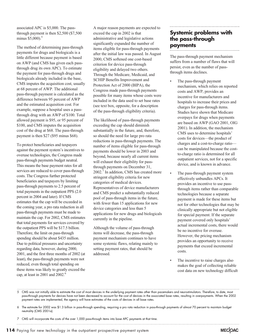associated APC is \$5,000. The passthrough payment is then \$2,500 (\$7,500 minus  $$5,000$ .<sup>5</sup>

The method of determining pass-through payments for drugs and biologicals is a little different because payment is based on AWP (and CMS has given each passthrough drug its own APC). To estimate the payment for pass-through drugs and biologicals already included in the base, CMS imputes the acquisition cost, usually at 68 percent of AWP. The additional pass-through payment is calculated as the difference between 95 percent of AWP and the estimated acquisition cost. For example, suppose a hospital uses a passthrough drug with an AWP of \$100. Total allowed payment is \$95, or 95 percent of \$100, and CMS imputes the acquisition cost of the drug at \$68. The pass-through payment is then \$27 (\$95 minus \$68).

To protect beneficiaries and taxpayers against the payment system's incentives to overuse technologies, the Congress made pass-through payments budget neutral. This means the base payment rates for all services are reduced to cover pass-through costs. The Congress further protected beneficiaries and taxpayers by limiting pass-through payments to 2.5 percent of total payments in the outpatient PPS (2.0 percent in 2004 and later). If CMS estimates that the cap will be exceeded in the coming year, a pro rata reduction in all pass-through payments must be made to maintain the cap. For 2002, CMS estimates that total payments for services covered by the outpatient PPS will be \$17.5 billion. Therefore, the limit on pass-through spending should be about \$435 million. Due to political pressures and uncertainty regarding data, however, during 2000, 2001, and the first three months of 2002 (at least), the pass-through payments were not reduced, even though total spending on these items was likely to greatly exceed the cap, at least in 2001 and 2002.6

A major reason payments are expected to exceed the cap in 2002 is that administrative and legislative actions significantly expanded the number of items eligible for pass-through payments after the initial law was passed. In August 2000, CMS softened one cost-based criterion for device pass-through eligibility and delayed two others. Through the Medicare, Medicaid, and SCHIP Benefits Improvement and Protection Act of 2000 (BIPA), the Congress made pass-through payments possible for many items whose costs were included in the data used to set base rates (see text box, opposite, for a description of the pass-through eligibility criteria).

The likelihood of pass-through payments exceeding the cap should diminish substantially in the future, and, therefore, so should the need for large pro rata reductions in pass-through payments. The number of items eligible for pass-through payments should be lower in 2003 and beyond, because nearly all current items will exhaust their eligibility for passthrough payments on December 31, 2002.7 In addition, CMS has created more stringent eligibility criteria for new categories of medical devices. Representatives of device manufacturers and CMS predict a substantially reduced pool of pass-through items in the future, with fewer than 15 applications for new device categories and less than 5 applications for new drugs and biologicals currently in the pipeline.

Although the volume of pass-through items will decrease, the pass-through payment mechanism continues to have some systemic flaws, relating mainly to setting payment rates, that should be addressed.

## **Systemic problems with the pass-through payments**

The pass-through payment mechanism suffers from a number of flaws that will persist, even as the number of passthrough items declines.

- The pass-through payment mechanism, which relies on reported costs and AWP, provides an incentive for manufacturers and hospitals to increase their prices and charges for pass-through items. Studies have shown that Medicare overpays for drugs when payments are based on AWP (GAO 2001, OIG 2001). In addition, the mechanism CMS uses to determine hospitals' costs for devices—the product of charges and a cost-to-charge ratio can be manipulated because the costto-charge ratio is determined for all outpatient services, not for a specific device, and is known in advance.
- The pass-through payment system effectively unbundles APCs. It provides an incentive to use passthrough items rather than comparable technologies because a separate payment is made for these items but not for other technologies that may be clinically appropriate but not eligible for special payment. If the separate payment covered only hospitals' actual incremental costs, there would be no incentive for overuse. However, the pricing mechanism provides an opportunity to receive payments that exceed incremental costs.
- The incentive to raise charges also makes the goal of collecting reliable cost data on new technology difficult

5 CMS was not initially able to estimate the cost of most devices in the underlying payment rates other than pacemakers and neurostimulators. Therefore, to date, most pass-through payments for devices have not been decreased to account for the cost of devices in the associated base rates, resulting in overpayments. When the 2002 payment rates are implemented, the agency will have estimates of the costs of devices in all base rates.

- 6 The estimate for 2002 was \$1.3 billion in pass-through spending, requiring a pro rata reduction in pass-through payments of almost 70 percent to maintain budget neutrality (CMS 2001a).
- 7 CMS will incorporate the costs of the over 1,000 pass-through items into base APC payments at that time.

**114** Paying for new technology in the outpatient prospective payment system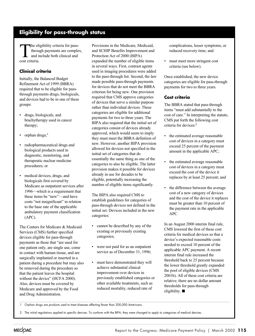## **Eligibility for pass-through status**

The eligibility criteria for pass-<br>through payments are comple<br>and include both clinical and<br>cost criteria through payments are complex, and include both clinical and cost criteria.

#### **Clinical criteria**

Initially, the Balanced Budget Refinement Act of 1999 (BBRA) required that to be eligible for passthrough payments drugs, biologicals, and devices had to be in one of these groups:

- drugs, biologicals, and brachytherapy used in cancer therapy;
- orphan drugs;<sup>1</sup>
- radiopharmaceutical drugs and biological products used in diagnostic, monitoring, and therapeutic nuclear medicine procedures; or
- medical devices, drugs, and biologicals first covered by Medicare as outpatient services after 1996—which is a requirement that these items be "new"—and have costs "not insignificant" in relation to the base rate of the applicable ambulatory payment classification (APC).

The Centers for Medicare & Medicaid Services (CMS) further specified devices eligible for pass-through payments as those that "are used for one patient only, are single use, come in contact with human tissue, and are surgically implanted or inserted in a patient during a procedure but may also be removed during the procedure so that the patient leaves the hospital without the device" (HCFA 2000). Also, devices must be covered by Medicare and approved by the Food and Drug Administration.

Provisions in the Medicare, Medicaid, and SCHIP Benefits Improvement and Protection Act of 2000 (BIPA) expanded the number of eligible items in several ways. First, contrast agents used in imaging procedures were added to the pass-through list. Second, the law made possible pass-through payments for devices that do not meet the BBRA criterion for being new. One provision required that CMS approve categories of devices that serve a similar purpose rather than individual devices. These categories are eligible for additional payments for two to three years. The BIPA also required that the initial set of categories consist of devices already approved, which would seem to imply they must meet the BBRA definition of new. However, another BIPA provision allowed for devices not specified in the initial set of categories that do essentially the same thing as one of the categories to also be eligible. The latter provision makes it possible for devices already in use for decades to be eligible, potentially increasing the number of eligible items significantly.

The BIPA also required CMS to establish guidelines for categories of pass-through devices not defined in the initial set. Devices included in the new categories:

- cannot be described by any of the existing or previously existing categories;
- were not paid for as an outpatient service as of December 31, 1996;
- must have demonstrated they will achieve substantial clinical improvement over devices in previously established categories or other available treatments, such as reduced mortality, reduced rate of

complications, lesser symptoms, or reduced recovery time; and

• must meet more stringent cost criteria (see below).

Once established, the new device categories are eligible for pass-through payments for two to three years.

#### **Cost criteria**

The BBRA stated that pass-through items "must add substantially to the cost of care." In interpreting the statute, CMS put forth the following cost criteria for devices:<sup>2</sup>

- the estimated average reasonable cost of devices in a category must exceed 25 percent of the payment amount in the applicable APC;
- the estimated average reasonable cost of devices in a category must exceed the cost of the device it replaces by at least 25 percent; and
- the difference between the average cost of a new category of devices and the cost of the device it replaces must be greater than 10 percent of the payment rate in the applicable APC.

In an August 2000 interim final rule, CMS lowered the first of these cost criteria for medical devices so that a device's expected reasonable costs needed to exceed 10 percent of the applicable APC payment. A recent interim final rule increased the threshold back to 25 percent because the lower threshold greatly expanded the pool of eligible devices (CMS 2001b). All of these cost criteria are relative; there are no dollar amount thresholds for pass-through eligibility.  $\blacksquare$ 

1 Orphan drugs are products used to treat diseases affecting fewer than 200,000 Americans.

2 The initial regulations applied to specific devices. To conform with the BIPA, they were changed to apply to categories of medical devices.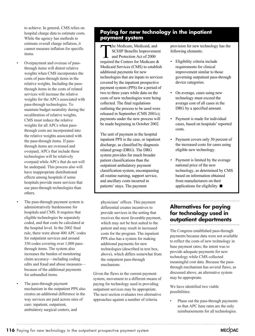to achieve. In general, CMS relies on hospital charge data to estimate costs. While the agency has methods to estimate overall charge inflation, it cannot measure inflation for specific items.

- Overpayment and overuse of passthrough items will distort relative weights when CMS incorporates the costs of pass-through items in the relative weights. Including the passthrough items in the costs of related services will increase the relative weights for the APCs associated with pass-through technologies. To maintain budget neutrality during the recalibration of relative weights, CMS must reduce the relative weights for all APCs when passthrough costs are incorporated into the relative weights associated with the pass-through items. If passthrough items are overused and overpaid, APCs that include these technologies will be relatively overpaid while APCs that do not will be underpaid. This process also will have inappropriate distributional effects among hospitals if some hospitals provide more services that use pass-through technologies than others.
- The pass-through payment system is administratively burdensome for hospitals and CMS. It requires that eligible technologies be separately coded, and that costs be calculated at the hospital level. In the 2002 final rule, there were about 400 APC codes for outpatient services and around 350 codes covering over 1,000 passthrough items. The system also increases the burden of monitoring claim accuracy—including coding edits and fraud and abuse measures because of the additional payments for unbundled items.
- The pass-through payment mechanism in the outpatient PPS also creates an additional difference in the way services are paid across sites of care: inpatient, outpatient, ambulatory surgical centers, and

### **Paying for new technology in the inpatient payment system**

The Medicare, Medicaid, and<br>SCHIP Benefits Improvement<br>and Protection Act of 2000<br>required the Centers for Medicare SCHIP Benefits Improvement and Protection Act of 2000 required the Centers for Medicare & Medicaid Services (CMS) to establish additional payments for new technologies that are inputs to services covered by the inpatient prospective payment system (PPS) for a period of two to three years while data on the costs of new technologies were being collected. The final regulations outlining the process to be used were released in September (CMS 2001c); payments under the new process will be made beginning in October 2002.

The unit of payment in the hospital inpatient PPS is the case, or inpatient discharge, as classified by diagnosis related group (DRG). The DRG system provides for much broader patient classifications than the outpatient ambulatory payment classification system, encompassing all routine nursing, support service, and ancillary costs incurred in patients' stays. The payment

physicians' offices. This payment differential creates incentives to provide services in the setting that receives the most favorable payment, which may not be best suited to the patient and may result in increased costs for the program. The inpatient PPS also has a system for making additional payments for new technologies (described in text box, above), which differs somewhat from the outpatient pass-through mechanism.

Given the flaws in the current payment system, movement to a different means of paying for technology used in providing outpatient services may be appropriate. The next section evaluates two alternative approaches against a number of criteria.

provision for new technology has the following elements:

- Eligibility criteria include requirements for clinical improvement similar to those governing outpatient pass-through device categories.
- On average, cases using new technology must exceed the average cost of all cases in the DRG by a specified amount.
- Payment is made for individual cases, based on hospitals' reported costs.
- Payment covers only 50 percent of the increased costs for cases using eligible new technology.
- Payment is limited by the average national price of the new technology, as determined by CMS based on information obtained from manufacturers on their applications for eligibility.  $\blacksquare$

## **Alternatives for paying for technology used in outpatient departments**

The Congress established pass-through payments because data were not available to reflect the costs of new technology in base payment rates; the intent was to provide adequate payments for new technology while CMS collected meaningful cost data. Because the passthrough mechanism has several flaws, as discussed above, an alternative system may be appropriate.

We have identified two viable possibilities:

Phase out the pass-through payments so that APC base rates are the only reimbursements for all technologies.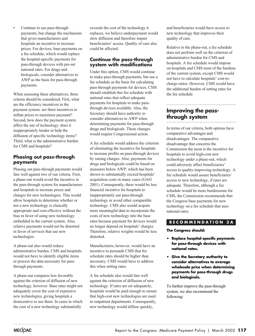Continue to use pass-through payments, but change the mechanism that gives manufacturers and hospitals an incentive to increase prices. For devices, base payments on a fee schedule, which would replace the hospital-specific payments for pass-through devices with pre-set national rates. For drugs and biologicals, consider alternatives to AWP as the basis for pass-through payments.

When assessing these alternatives, three criteria should be considered. First, what are the efficiency incentives in the payment system: are there incentives to inflate prices to maximize payment? Second, how does the payment system affect the use of technology: does it inappropriately hinder or help the diffusion of specific technology items? Third, what is the administrative burden for CMS and hospitals?

#### **Phasing out pass-through payments**

Phasing out pass-through payments would fare well against two of our criteria. First, a phase-out would avoid the incentive in the pass-through system for manufacturers and hospitals to increase prices and charges for new technologies. This would allow hospitals to determine whether or not a new technology is clinically appropriate and cost-effective without the bias in favor of using new technology embedded in the current system. Also, relative payments would not be distorted in favor of services that use new technologies.

A phase-out also would reduce administrative burden. CMS and hospitals would not have to identify eligible items or process the data necessary for passthrough payments.

A phase-out compares less favorably against the criterion of diffusion of new technology, however. Base rates might not adequately cover the cost of expensive new technologies, giving hospitals a disincentive to use them. In cases in which the cost of a new technology substantially

exceeds the cost of the technology it replaces, we believe underpayment would slow diffusion and therefore impair beneficiaries' access. Quality of care also could be affected.

#### **Continue the pass-through system with modifications**

Under this option, CMS would continue to make pass-through payments, but use a fee schedule as the basis for calculating pass-through payments for devices. CMS should establish this fee schedule with national rates that reflect adequate payments for hospitals to make passthrough devices available. Also, the Secretary should have authority to consider alternatives to AWP when determining payments for pass-through drugs and biologicals. These changes would require Congressional action.

A fee schedule would address the criterion of eliminating the incentive for hospitals to increase profits on pass-through devices by raising charges. Also, payments for drugs and biologicals could be based on measures below AWP, which has been shown to substantially exceed hospitals' acquisition costs in many cases (GAO 2001). Consequently, there would be less financial incentive for hospitals to inappropriately use pass-through technology or avoid other comparable technology. CMS also would acquire more meaningful data to incorporate the costs of new technology into the base rates because payment for devices would no longer depend on hospitals' charges. Therefore, relative weights would be less distorted.

Manufacturers, however, would have an incentive to persuade CMS that fee schedule rates should be higher than necessary. CMS would have to address this when setting rates.

A fee schedule also would fare well against the criterion of diffusion of new technology. If rates are set adequately, hospitals would be paid enough to ensure that high-cost new technologies are used in outpatient departments. Consequently, new technology would diffuse quickly,

and beneficiaries would have access to new technology that improves their quality of care.

Relative to the phase-out, a fee schedule does not perform well on the criterion of administrative burden for CMS and hospitals. A fee schedule would impose on hospitals and CMS most of the burdens of the current system, except CMS would not have to calculate hospitals' cost-tocharge ratios. However, CMS would have the additional burden of setting rates for the fee schedule.

## **Improving the passthrough system**

In terms of our criteria, both options have comparative advantages and disadvantages. The comparative disadvantage that concerns the Commission the most is the incentive for hospitals to avoid high-cost new technology under a phase-out, which could adversely affect beneficiaries' access to quality-improving technology. A fee schedule would assure beneficiaries' access to new technology, if rates are adequate. Therefore, although a fee schedule would be more burdensome for CMS, the Commission recommends that the Congress base payments for new technology on a fee schedule that uses national rates.

#### **RECOMMENDATION 3A**

**The Congress should:**

- **Replace hospital-specific payments for pass-through devices with national rates.**
- **Give the Secretary authority to consider alternatives to average wholesale price when determining payments for pass-through drugs and biologicals.**

To further improve the pass-through system, we also recommend the following: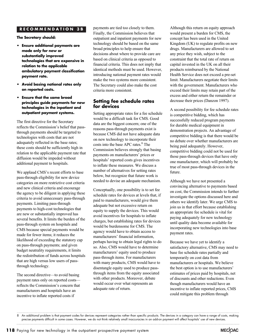#### **RECOMMENDATION 3B**

**The Secretary should:**

- **Ensure additional payments are made only for new or substantially improved technologies that are expensive in relation to the applicable ambulatory payment classification payment rate.**
- **Avoid basing national rates only on reported costs.**
- **Ensure that the same broad principles guide payments for new technologies in the inpatient and outpatient payment systems.**

The first directive for the Secretary reflects the Commission's belief that passthrough payments should be targeted to technologies with costs that are not adequately reflected in the base rates; these costs should be sufficiently high in relation to the applicable payment rate that diffusion would be impeded without additional payment to hospitals.

We applaud CMS's recent efforts to base pass-through eligibility for new device categories on more restrictive cost criteria and new clinical criteria and encourage the agency to be diligent in applying these criteria to avoid unnecessary pass-through payments. Limiting pass-through payments to high-cost technologies that are new or substantially improved has several benefits. It limits the burden of the pass-through system on hospitals and CMS because special payments would be made for fewer items; it reduces the likelihood of exceeding the statutory cap on pass-through payments; and given budget neutrality requirements, it limits the redistribution of funds across hospitals that are high versus low users of passthrough technology.

The second directive—to avoid basing payment rates only on reported costs reflects the Commission's concern that manufacturers and hospitals have an incentive to inflate reported costs if

payments are tied too closely to them. Finally, the Commission believes that outpatient and inpatient payments for new technology should be based on the same broad principles to help ensure that decisions about where to provide care are based on clinical criteria as opposed to financial criteria. This does not imply that identical methods must be used. However, introducing national payment rates would make the two systems more consistent. The Secretary could also make the cost criteria more consistent.

#### **Setting fee schedule rates for devices**

Setting appropriate rates for a fee schedule would be a difficult task for CMS. Good data are the biggest concern; one of the reasons pass-through payments exist is because CMS did not have adequate data on new technology to incorporate their costs into the base APC rates.<sup>8</sup> The Commission believes strongly that basing payments on manufacturers' prices or hospitals' reported costs gives incentives to inflate these measures. We discuss a number of alternatives for setting rates below, but recognize that future work is needed to devise an adequate mechanism.

Conceptually, one possibility is to set fee schedule rates for devices at levels that, if paid to manufacturers, would give them adequate but not excessive return on equity to supply the devices. This would avoid incentives for hospitals to inflate charges, but establishing rates for devices would be burdensome for CMS. The agency would have to obtain access to manufacturers' financial information, perhaps having to obtain legal rights to do so. Also, CMS would have to determine manufacturers' equity used to produce pass-through items. For manufacturers with many products, CMS would have to disentangle equity used to produce passthrough items from the equity associated with other products. Moreover, debate would occur over what represents an adequate rate of return.

Although this return on equity approach would present a burden for CMS, the concept has been used in the United Kingdom (UK) to regulate profits on new drugs. Manufacturers are allowed to set any price they wish, subject to the constraint that the total rate of return on capital invested in the UK on all their products reimbursed by the National Health Service does not exceed a pre-set limit. Manufacturers negotiate their limits with the government. Manufacturers who exceed their limits may retain part of the excess and either return the remainder or decrease their prices (Danzon 1997).

A second possibility for fee schedule rates is competitive bidding, which has successfully reduced program payments for durable medical equipment in demonstration projects. An advantage of competitive bidding is that there would be no debate over whether manufacturers are being paid adequately. However, competitive bidding could not be used for those pass-through devices that have only one manufacturer, which will probably be true of most pass-through devices in the future.

Although we have not presented a convincing alternative to payments based on cost, the Commission intends to further investigate the options discussed here and others we identify later. We urge CMS to join us in that effort because establishing an appropriate fee schedule is vital for paying adequately for new technology until quality data become available for incorporating new technologies into base payment rates.

Because we have yet to identify a satisfactory alternative, CMS may need to base fee schedule rates partially and temporarily on cost data from manufacturers or hospitals. We believe the best option is to use manufacturers' estimates of prices paid by hospitals, net of discounts and other reductions. Even though manufacturers would have an incentive to inflate reported prices, CMS could mitigate this problem through

<sup>8</sup> An additional problem is that payment codes for devices represent categories rather than specific products. The devices in a category can have a range of costs, making precise payments difficult in some cases. However, we do not think relatively small inaccuracies in an add-on payment will affect hospitals' use of new devices.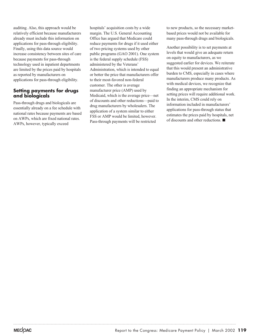auditing. Also, this approach would be relatively efficient because manufacturers already must include this information on applications for pass-through eligibility. Finally, using this data source would increase consistency between sites of care because payments for pass-through technology used in inpatient departments are limited by the prices paid by hospitals as reported by manufacturers on applications for pass-through eligibility.

#### **Setting payments for drugs and biologicals**

Pass-through drugs and biologicals are essentially already on a fee schedule with national rates because payments are based on AWPs, which are fixed national rates. AWPs, however, typically exceed

hospitals' acquisition costs by a wide margin. The U.S. General Accounting Office has argued that Medicare could reduce payments for drugs if it used either of two pricing systems used by other public programs (GAO 2001). One system is the federal supply schedule (FSS) administered by the Veterans' Administration, which is intended to equal or better the price that manufacturers offer to their most-favored non-federal customer. The other is average manufacturer price (AMP) used by Medicaid, which is the average price—net of discounts and other reductions—paid to drug manufacturers by wholesalers. The application of a system similar to either FSS or AMP would be limited, however. Pass-through payments will be restricted

to new products, so the necessary marketbased prices would not be available for many pass-through drugs and biologicals.

Another possibility is to set payments at levels that would give an adequate return on equity to manufacturers, as we suggested earlier for devices. We reiterate that this would present an administrative burden to CMS, especially in cases where manufacturers produce many products. As with medical devices, we recognize that finding an appropriate mechanism for setting prices will require additional work. In the interim, CMS could rely on information included in manufacturers' applications for pass-through status that estimates the prices paid by hospitals, net of discounts and other reductions.  $\blacksquare$